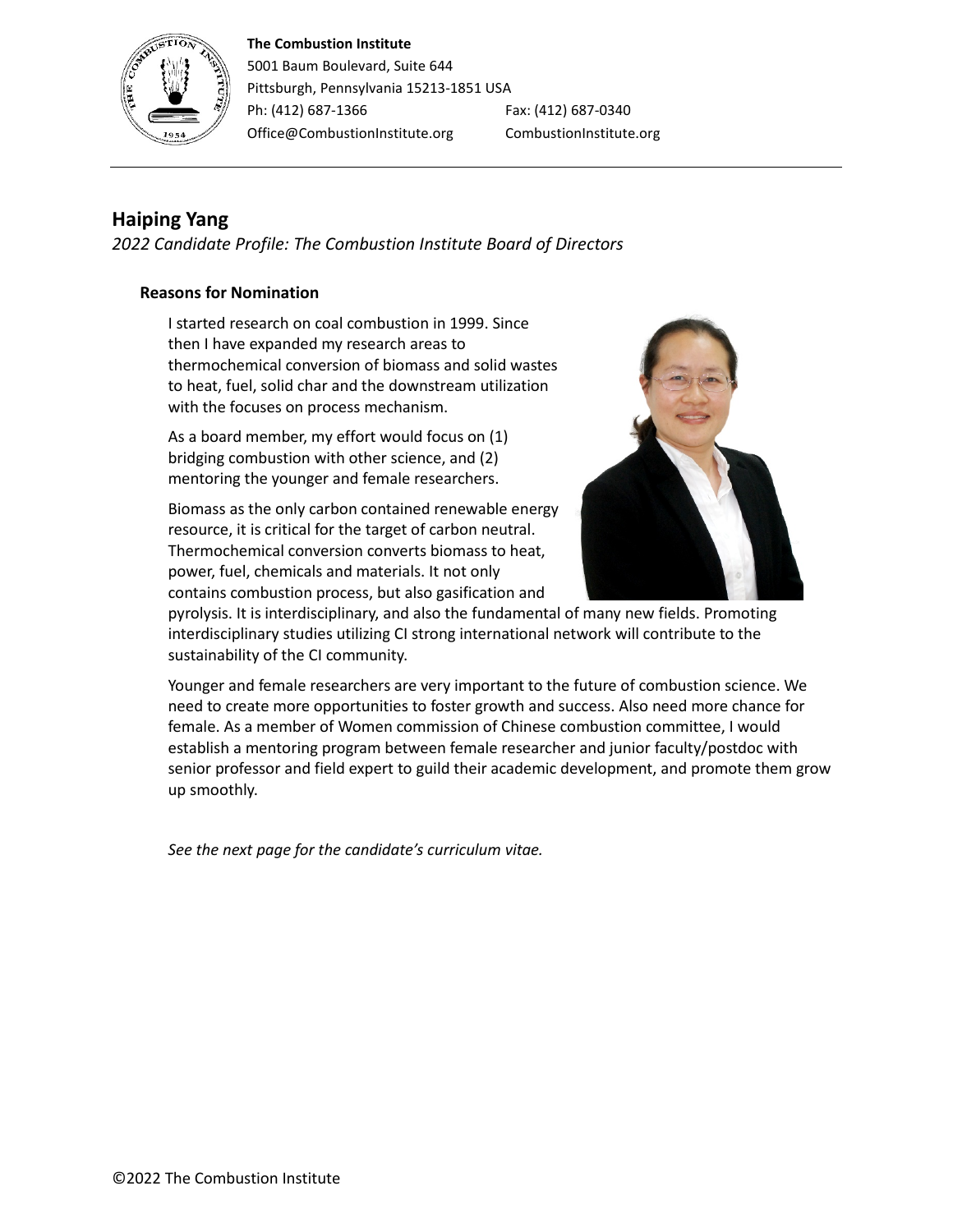#### **The Combustion Institute**



5001 Baum Boulevard, Suite 644 Pittsburgh, Pennsylvania 15213-1851 USA Ph: (412) 687-1366 Fax: (412) 687-0340 Office@CombustionInstitute.org CombustionInstitute.org

# **Haiping Yang**

*2022 Candidate Profile: The Combustion Institute Board of Directors*

#### **Reasons for Nomination**

I started research on coal combustion in 1999. Since then I have expanded my research areas to thermochemical conversion of biomass and solid wastes to heat, fuel, solid char and the downstream utilization with the focuses on process mechanism.

As a board member, my effort would focus on (1) bridging combustion with other science, and (2) mentoring the younger and female researchers.

Biomass as the only carbon contained renewable energy resource, it is critical for the target of carbon neutral. Thermochemical conversion converts biomass to heat, power, fuel, chemicals and materials. It not only contains combustion process, but also gasification and



pyrolysis. It is interdisciplinary, and also the fundamental of many new fields. Promoting interdisciplinary studies utilizing CI strong international network will contribute to the sustainability of the CI community.

Younger and female researchers are very important to the future of combustion science. We need to create more opportunities to foster growth and success. Also need more chance for female. As a member of Women commission of Chinese combustion committee, I would establish a mentoring program between female researcher and junior faculty/postdoc with senior professor and field expert to guild their academic development, and promote them grow up smoothly.

*See the next page for the candidate's curriculum vitae.*